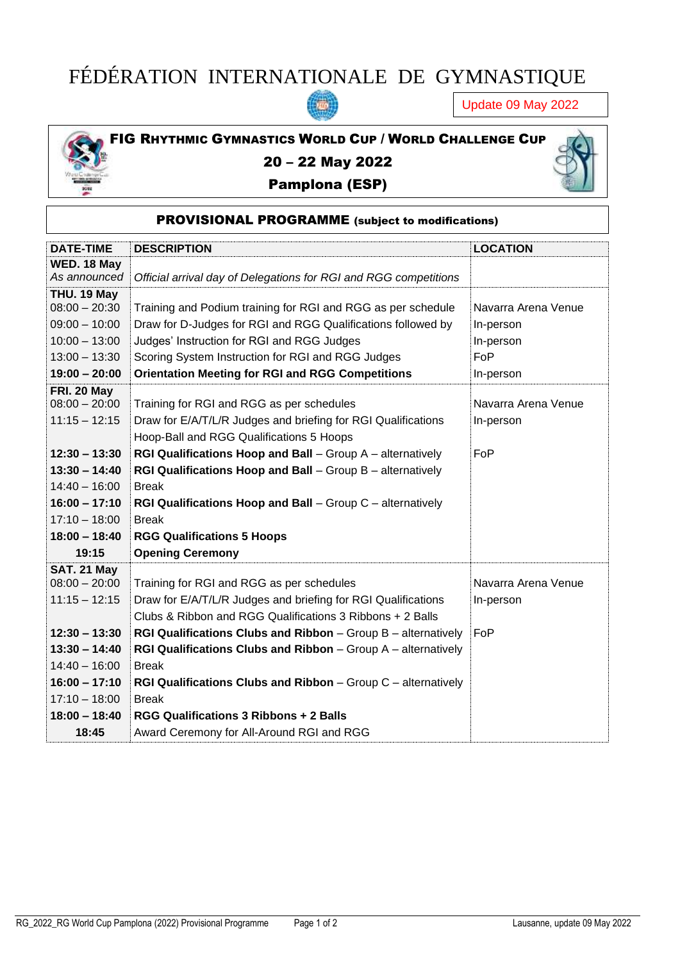## FÉDÉRATION INTERNATIONALE DE GYMNASTIQUE

羅

Update 09 May 2022



## 20 – 22 May 2022

## Pamplona (ESP)



|  | <b>PROVISIONAL PROGRAMME</b> (subject to modifications) |
|--|---------------------------------------------------------|
|  |                                                         |

| <b>DATE-TIME</b> | <b>DESCRIPTION</b>                                                         | <b>LOCATION</b>     |
|------------------|----------------------------------------------------------------------------|---------------------|
| WED. 18 May      |                                                                            |                     |
| As announced     | Official arrival day of Delegations for RGI and RGG competitions           |                     |
| THU. 19 May      |                                                                            |                     |
| $08:00 - 20:30$  | Training and Podium training for RGI and RGG as per schedule               | Navarra Arena Venue |
| $09:00 - 10:00$  | Draw for D-Judges for RGI and RGG Qualifications followed by               | In-person           |
| $10:00 - 13:00$  | Judges' Instruction for RGI and RGG Judges                                 | In-person           |
| $13:00 - 13:30$  | Scoring System Instruction for RGI and RGG Judges                          | FoP                 |
| $19:00 - 20:00$  | <b>Orientation Meeting for RGI and RGG Competitions</b>                    | In-person           |
| FRI. 20 May      |                                                                            |                     |
| $08:00 - 20:00$  | Training for RGI and RGG as per schedules                                  | Navarra Arena Venue |
| $11:15 - 12:15$  | Draw for E/A/T/L/R Judges and briefing for RGI Qualifications              | In-person           |
|                  | Hoop-Ball and RGG Qualifications 5 Hoops                                   |                     |
| $12:30 - 13:30$  | RGI Qualifications Hoop and Ball - Group A - alternatively                 | FoP                 |
| $13:30 - 14:40$  | RGI Qualifications Hoop and Ball - Group B - alternatively                 |                     |
| $14:40 - 16:00$  | <b>Break</b>                                                               |                     |
| $16:00 - 17:10$  | RGI Qualifications Hoop and Ball - Group C - alternatively                 |                     |
| $17:10 - 18:00$  | <b>Break</b>                                                               |                     |
| $18:00 - 18:40$  | <b>RGG Qualifications 5 Hoops</b>                                          |                     |
| 19:15            | <b>Opening Ceremony</b>                                                    |                     |
| SAT. 21 May      |                                                                            |                     |
| $08:00 - 20:00$  | Training for RGI and RGG as per schedules                                  | Navarra Arena Venue |
| $11:15 - 12:15$  | Draw for E/A/T/L/R Judges and briefing for RGI Qualifications              | In-person           |
|                  | Clubs & Ribbon and RGG Qualifications 3 Ribbons + 2 Balls                  |                     |
| $12:30 - 13:30$  | RGI Qualifications Clubs and Ribbon - Group B - alternatively              | FoP                 |
| $13:30 - 14:40$  | <b>RGI Qualifications Clubs and Ribbon</b> $-$ Group $A$ $-$ alternatively |                     |
| $14:40 - 16:00$  | <b>Break</b>                                                               |                     |
| $16:00 - 17:10$  | <b>RGI Qualifications Clubs and Ribbon</b> $-$ Group $C$ $-$ alternatively |                     |
| $17:10 - 18:00$  | <b>Break</b>                                                               |                     |
| $18:00 - 18:40$  | <b>RGG Qualifications 3 Ribbons + 2 Balls</b>                              |                     |
| 18:45            | Award Ceremony for All-Around RGI and RGG                                  |                     |